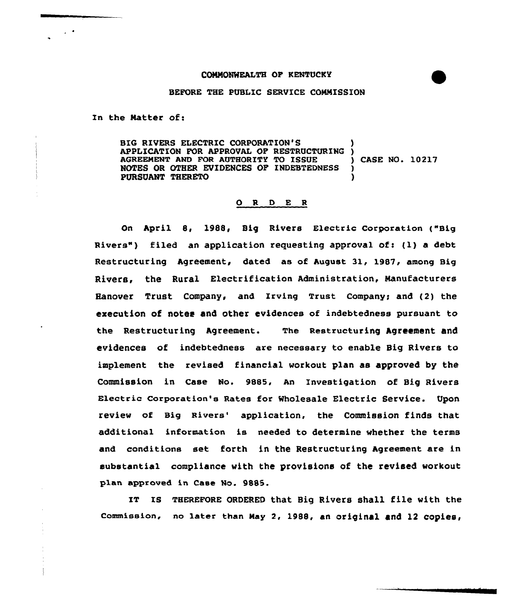## COMMONWEALTH OP RENTUCEY

## BEFORE THE PUBLIC SERVICE COMMISSION

In the Matter of:

 $\sim$   $\sim$ 

BIG RIVERS ELECTRIC CORPORATION'S APPLICATION FOR APPROVAL OF RESTRUCTURING )<br>AGREEMENT AND FOR AUTHORITY TO ISSUE AGREEMENT AND FOR AUTHORITY TO ISSUE (CASE NO. 10217 NOTES OR OTHER EVIDENCES OF INDEBTEDNESS NOTES OR OTHER EVIDENCES OF INDEBTEDNESS PURSUANT THERETO )

## O R D E R

On April 8, 1988, Big Rivers Electric Corporation ("Big Rivers") filed an application requesting approval of: (1) a debt Restructuring Agreement, dated as of August 31, 1987, among Big Rivers, the Rural Electrification Administration, Manufacturers Hanover Trust company, and Irving Trust companyg and (2) the execution of notes and other evidences of indebtedness pursuant to the Restructuring Agreement. The Restructuring Agreement and evidences of indebtedness are necessary to enable Big Rivers to implement the revised financial workout plan as approved by the Commission in Case No. 9885, An Investigation of Big Rivers Electric corporation's Rates for wholesale Electric Service. Upon review of Big Rivers' application, the Commission finds that additional information is needed to determine whether the terms and conditions set forth in the Restructuring Agreement are in substantial compliance with the provisions of the revised workout plan approved in Case No. 9885.

IT IS THEREFORE ORDERED that Big Rivers shall file with the Commission, no later than May 2, 1988, an original and 12 copies<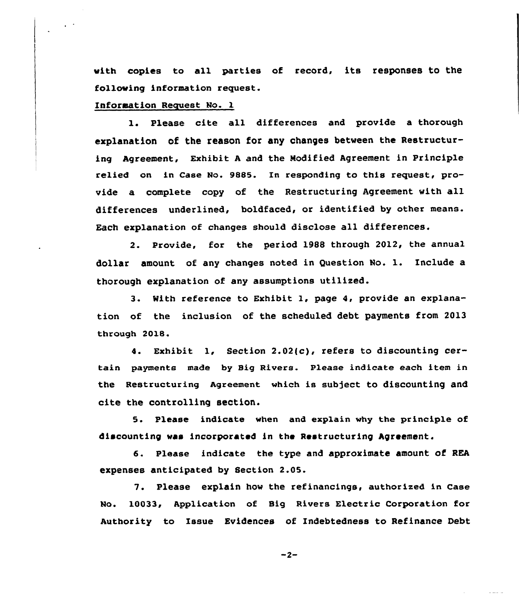with copies to all parties of record, its responses to the following information request.

Information Request No. 1

 $\Delta \sim 10$ 

1. Please cite all differences and provide a thorough explanation of the reason for any changes between the Restructuring Agreement, Exhibit <sup>A</sup> and the Modified Agreement in Principle relied on in Case No. 9885. In responding to this request, provide a complete copy of the Restructuring Agreement with all differences underlined, boldfaced, or identified by other means. Each explanation of changes should disclose all differences.

2. Provide, for the period 1988 through 2012, the annual dollar amount of any changes noted in Question No. l. Include <sup>a</sup> thorough explanation of any assumptions utilised.

3. With reference to Exhibit 1, page 4, provide an explanation of the inclusion of the scheduled debt payments from 2013 through 2018.

4. Exhibit 1, Section 2.02(c), refers to discounting certain payments made by Big Rivers. Please indicate each item in the Restructuring Agreement which is subject to discounting and cite the controlling section.

5. Please indicate when and explain why the principle of discounting was incorporated in the Restructuring Agreement.

6. Please indicate the type and approximate amount of REA expenses anticipated by Section 2.05.

7. Please explain how the refinancings, authorized in Case No. 10033, Application of Big Rivers Electric Corporation for Authority to Issue Evidences of Indebtedness to Refinance Debt

 $-2-$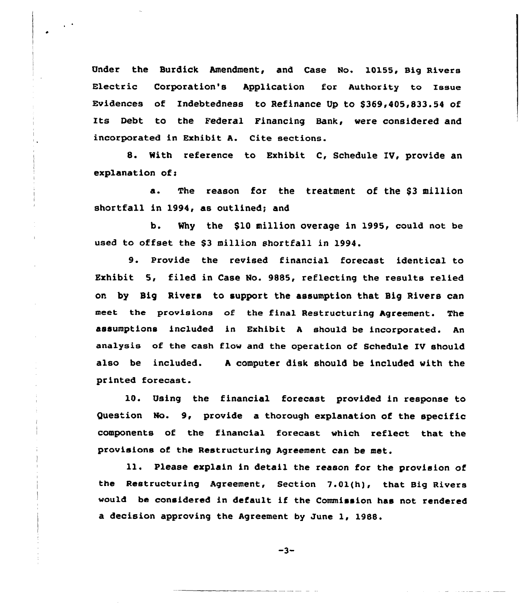Under the Surdick Amendment, and Case No. 10155, Big Rivers Electric Corporation's Application for Authority to Issue Evidences of Indebtedness to Refinance Up to \$369,405,833.54 of Its Debt to the Federal Financing Bank, were considered and incorporated in Exhibit A. Cite sections.

8. With reference to Exhibit C, Schedule IV, provide an explanation of<

a. The reason for the treatment of the \$3 million shortfall in 1994, as outlined; and

b. Why the \$10 million overage in 1995, could not be used to offset the \$<sup>3</sup> million shortfall in 1994.

9. Provide the revised financial forecast identical to Exhibit 5, filed in Case No. 9885, reflecting the results relied on by Sig Rivers to support the assumption that Sig Rivers can meet the provisions of the final Restructuring Agreement. The assumptions included in Exhibit <sup>A</sup> should be incorporated. An analysis of the cash flow and the operation of Schedule IV should also be included. <sup>A</sup> computer disk should be included with the printed forecast.

10. Using the financial forecast provided in response to Question No. 9, provide a thorough explanation of the specific components of the financial forecast which reflect. that the provisions of the Restructuring Agreement can be met.

ll. Please explain in detail the reason for the provision of the Restructuring Agreement, Section 7.01{h), that Big Rivers would be considered in default if the Commission has not rendered a decision approving the Agreement by June 1, 1988.

 $-3-$